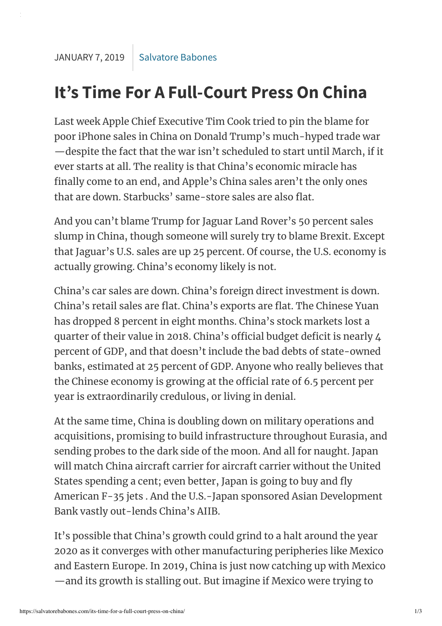## **It's Time For A Full-Court Press On China**

Last week Apple Chief Executive Tim Cook tried to pin the blame for poor iPhone sales in China on Donald Trump's much-hyped trade war —despite the fact that the war isn't scheduled to start until March, if it ever starts at all. The reality is that China's economic miracle has finally come to an end, and Apple's China sales aren't the only ones that are down. Starbucks' same-store sales are also flat.

And you can't blame Trump for Jaguar Land Rover's 50 percent sales slump in China, though someone will surely try to blame Brexit. Except that Jaguar's U.S. sales are up 25 percent. Of course, the U.S. economy is actually growing. China's economy likely is not.

China's car sales are down. China's foreign direct investment is down. China's retail sales are flat. China's exports are flat. The Chinese Yuan has dropped 8 percent in eight months. China's stock markets lost a quarter of their value in 2018. China's official budget deficit is nearly 4 percent of GDP, and that doesn't include the bad debts of state-owned banks, estimated at 25 percent of GDP. Anyone who really believes that the Chinese economy is growing at the official rate of 6.5 percent per year is extraordinarily credulous, or living in denial.

At the same time, China is doubling down on military operations and acquisitions, promising to build infrastructure throughout Eurasia, and sending probes to the dark side of the moon. And all for naught. Japan will match China aircraft carrier for aircraft carrier without the United States spending a cent; even better, Japan is going to buy and fly American F-35 jets . And the U.S.-Japan sponsored Asian Development Bank vastly out-lends China's AIIB.

It's possible that China's growth could grind to a halt around the year 2020 as it converges with other manufacturing peripheries like Mexico and Eastern Europe. In 2019, China is just now catching up with Mexico —and its growth is stalling out. But imagine if Mexico were trying to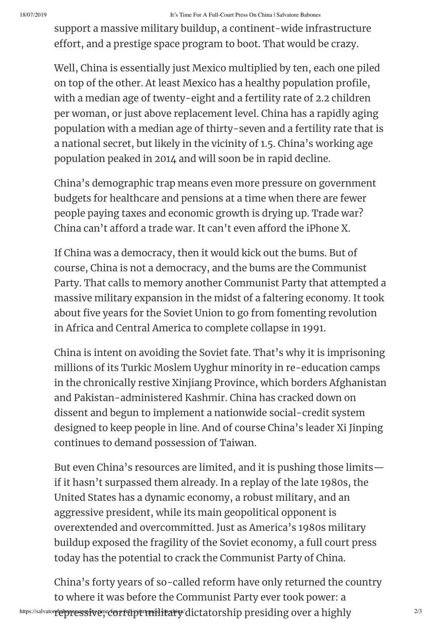## 18/07/2019 It's Time For A Full-Court Press On China | Salvatore Babones

support a massive military buildup, a continent-wide infrastructure effort, and a prestige space program to boot. That would be crazy.

Well, China is essentially just Mexico multiplied by ten, each one piled on top of the other. At least Mexico has a healthy population profile, with a median age of twenty-eight and a fertility rate of 2.2 children per woman, or just above replacement level. China has a rapidly aging population with a median age of thirty-seven and a fertility rate that is a national secret, but likely in the vicinity of 1.5. China's working age population peaked in 2014 and will soon be in rapid decline.

China's demographic trap means even more pressure on government budgets for healthcare and pensions at a time when there are fewer people paying taxes and economic growth is drying up. Trade war? China can't afford a trade war. It can't even afford the iPhone X.

If China was a democracy, then it would kick out the bums. But of course, China is not a democracy, and the bums are the Communist Party. That calls to memory another Communist Party that attempted a massive military expansion in the midst of a faltering economy. It took about five years for the Soviet Union to go from fomenting revolution in Africa and Central America to complete collapse in 1991.

China is intent on avoiding the Soviet fate. That's why it is imprisoning millions of its Turkic Moslem Uyghur minority in re-education camps in the chronically restive Xinjiang Province, which borders Afghanistan and Pakistan-administered Kashmir. China has cracked down on dissent and begun to implement a nationwide social-credit system designed to keep people in line. And of course China's leader Xi Jinping continues to demand possession of Taiwan.

But even China's resources are limited, and it is pushing those limits if it hasn't surpassed them already. In a replay of the late 1980s, the United States has a dynamic economy, a robust military, and an aggressive president, while its main geopolitical opponent is overextended and overcommitted. Just as America's 1980s military buildup exposed the fragility of the Soviet economy, a full court press today has the potential to crack the Communist Party of China.

https://salvator**r@pressrive;;corrt\thpt:rmilitary/dictatorship presiding over a highly**  $^{2/3}$ China's forty years of so-called reform have only returned the country to where it was before the Communist Party ever took power: a